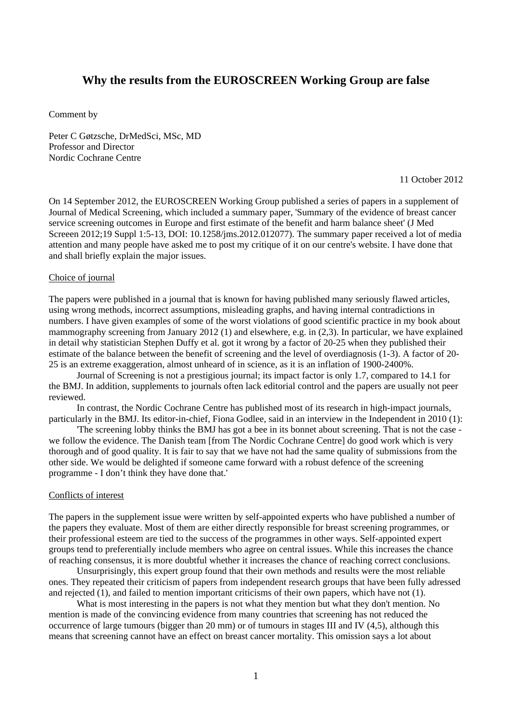# **Why the results from the EUROSCREEN Working Group are false**

Comment by

Peter C Gøtzsche, DrMedSci, MSc, MD Professor and Director Nordic Cochrane Centre

11 October 2012

On 14 September 2012, the EUROSCREEN Working Group published a series of papers in a supplement of Journal of Medical Screening, which included a summary paper, 'Summary of the evidence of breast cancer service screening outcomes in Europe and first estimate of the benefit and harm balance sheet' (J Med Screeen 2012;19 Suppl 1:5-13, DOI: 10.1258/jms.2012.012077). The summary paper received a lot of media attention and many people have asked me to post my critique of it on our centre's website. I have done that and shall briefly explain the major issues.

#### Choice of journal

The papers were published in a journal that is known for having published many seriously flawed articles, using wrong methods, incorrect assumptions, misleading graphs, and having internal contradictions in numbers. I have given examples of some of the worst violations of good scientific practice in my book about mammography screening from January 2012 (1) and elsewhere, e.g. in (2,3). In particular, we have explained in detail why statistician Stephen Duffy et al. got it wrong by a factor of 20-25 when they published their estimate of the balance between the benefit of screening and the level of overdiagnosis (1-3). A factor of 20- 25 is an extreme exaggeration, almost unheard of in science, as it is an inflation of 1900-2400%.

 Journal of Screening is not a prestigious journal; its impact factor is only 1.7, compared to 14.1 for the BMJ. In addition, supplements to journals often lack editorial control and the papers are usually not peer reviewed.

 In contrast, the Nordic Cochrane Centre has published most of its research in high-impact journals, particularly in the BMJ. Its editor-in-chief, Fiona Godlee, said in an interview in the Independent in 2010 (1):

 'The screening lobby thinks the BMJ has got a bee in its bonnet about screening. That is not the case we follow the evidence. The Danish team [from The Nordic Cochrane Centre] do good work which is very thorough and of good quality. It is fair to say that we have not had the same quality of submissions from the other side. We would be delighted if someone came forward with a robust defence of the screening programme - I don't think they have done that.'

## Conflicts of interest

The papers in the supplement issue were written by self-appointed experts who have published a number of the papers they evaluate. Most of them are either directly responsible for breast screening programmes, or their professional esteem are tied to the success of the programmes in other ways. Self-appointed expert groups tend to preferentially include members who agree on central issues. While this increases the chance of reaching consensus, it is more doubtful whether it increases the chance of reaching correct conclusions.

 Unsurprisingly, this expert group found that their own methods and results were the most reliable ones. They repeated their criticism of papers from independent research groups that have been fully adressed and rejected (1), and failed to mention important criticisms of their own papers, which have not (1).

 What is most interesting in the papers is not what they mention but what they don't mention. No mention is made of the convincing evidence from many countries that screening has not reduced the occurrence of large tumours (bigger than 20 mm) or of tumours in stages III and IV (4,5), although this means that screening cannot have an effect on breast cancer mortality. This omission says a lot about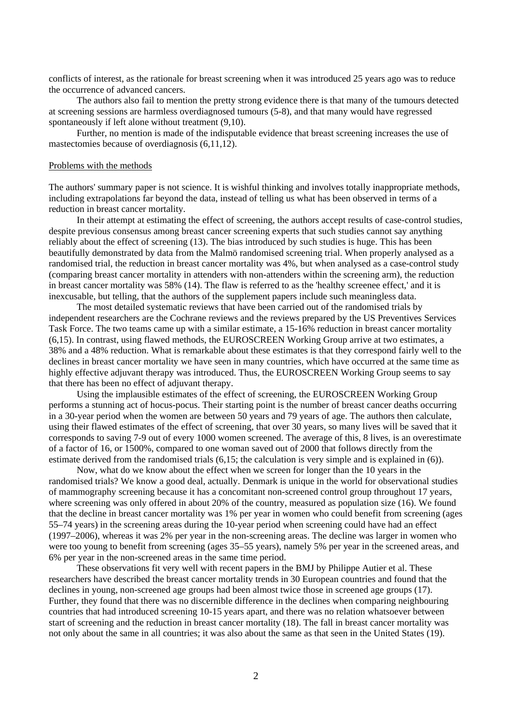conflicts of interest, as the rationale for breast screening when it was introduced 25 years ago was to reduce the occurrence of advanced cancers.

 The authors also fail to mention the pretty strong evidence there is that many of the tumours detected at screening sessions are harmless overdiagnosed tumours (5-8), and that many would have regressed spontaneously if left alone without treatment (9,10).

 Further, no mention is made of the indisputable evidence that breast screening increases the use of mastectomies because of overdiagnosis (6,11,12).

#### Problems with the methods

The authors' summary paper is not science. It is wishful thinking and involves totally inappropriate methods, including extrapolations far beyond the data, instead of telling us what has been observed in terms of a reduction in breast cancer mortality.

 In their attempt at estimating the effect of screening, the authors accept results of case-control studies, despite previous consensus among breast cancer screening experts that such studies cannot say anything reliably about the effect of screening (13). The bias introduced by such studies is huge. This has been beautifully demonstrated by data from the Malmö randomised screening trial. When properly analysed as a randomised trial, the reduction in breast cancer mortality was 4%, but when analysed as a case-control study (comparing breast cancer mortality in attenders with non-attenders within the screening arm), the reduction in breast cancer mortality was 58% (14). The flaw is referred to as the 'healthy screenee effect,' and it is inexcusable, but telling, that the authors of the supplement papers include such meaningless data.

 The most detailed systematic reviews that have been carried out of the randomised trials by independent researchers are the Cochrane reviews and the reviews prepared by the US Preventives Services Task Force. The two teams came up with a similar estimate, a 15-16% reduction in breast cancer mortality (6,15). In contrast, using flawed methods, the EUROSCREEN Working Group arrive at two estimates, a 38% and a 48% reduction. What is remarkable about these estimates is that they correspond fairly well to the declines in breast cancer mortality we have seen in many countries, which have occurred at the same time as highly effective adjuvant therapy was introduced. Thus, the EUROSCREEN Working Group seems to say that there has been no effect of adjuvant therapy.

 Using the implausible estimates of the effect of screening, the EUROSCREEN Working Group performs a stunning act of hocus-pocus. Their starting point is the number of breast cancer deaths occurring in a 30-year period when the women are between 50 years and 79 years of age. The authors then calculate, using their flawed estimates of the effect of screening, that over 30 years, so many lives will be saved that it corresponds to saving 7-9 out of every 1000 women screened. The average of this, 8 lives, is an overestimate of a factor of 16, or 1500%, compared to one woman saved out of 2000 that follows directly from the estimate derived from the randomised trials (6,15; the calculation is very simple and is explained in (6)).

 Now, what do we know about the effect when we screen for longer than the 10 years in the randomised trials? We know a good deal, actually. Denmark is unique in the world for observational studies of mammography screening because it has a concomitant non-screened control group throughout 17 years, where screening was only offered in about 20% of the country, measured as population size (16). We found that the decline in breast cancer mortality was 1% per year in women who could benefit from screening (ages 55–74 years) in the screening areas during the 10-year period when screening could have had an effect (1997–2006), whereas it was 2% per year in the non-screening areas. The decline was larger in women who were too young to benefit from screening (ages 35–55 years), namely 5% per year in the screened areas, and 6% per year in the non-screened areas in the same time period.

 These observations fit very well with recent papers in the BMJ by Philippe Autier et al. These researchers have described the breast cancer mortality trends in 30 European countries and found that the declines in young, non-screened age groups had been almost twice those in screened age groups (17). Further, they found that there was no discernible difference in the declines when comparing neighbouring countries that had introduced screening 10-15 years apart, and there was no relation whatsoever between start of screening and the reduction in breast cancer mortality (18). The fall in breast cancer mortality was not only about the same in all countries; it was also about the same as that seen in the United States (19).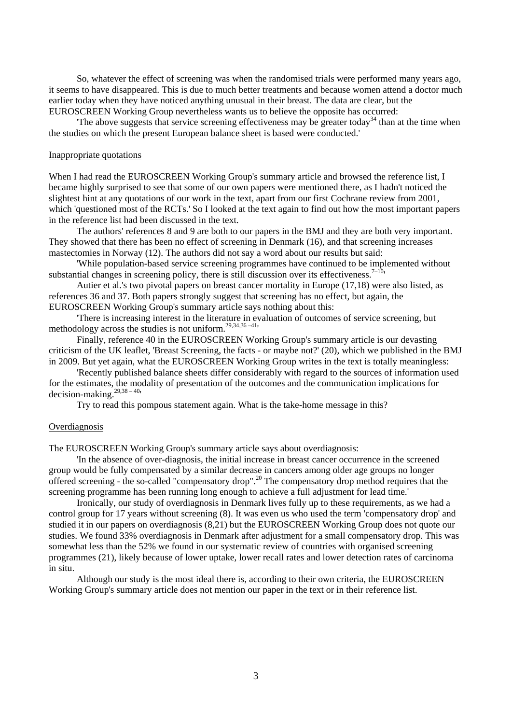So, whatever the effect of screening was when the randomised trials were performed many years ago, it seems to have disappeared. This is due to much better treatments and because women attend a doctor much earlier today when they have noticed anything unusual in their breast. The data are clear, but the EUROSCREEN Working Group nevertheless wants us to believe the opposite has occurred:

The above suggests that service screening effectiveness may be greater today<sup>34</sup> than at the time when the studies on which the present European balance sheet is based were conducted.'

## Inappropriate quotations

When I had read the EUROSCREEN Working Group's summary article and browsed the reference list, I became highly surprised to see that some of our own papers were mentioned there, as I hadn't noticed the slightest hint at any quotations of our work in the text, apart from our first Cochrane review from 2001, which 'questioned most of the RCTs.' So I looked at the text again to find out how the most important papers in the reference list had been discussed in the text.

 The authors' references 8 and 9 are both to our papers in the BMJ and they are both very important. They showed that there has been no effect of screening in Denmark (16), and that screening increases mastectomies in Norway (12). The authors did not say a word about our results but said:

 'While population-based service screening programmes have continued to be implemented without substantial changes in screening policy, there is still discussion over its effectiveness.<sup>7–10</sup>'

 Autier et al.'s two pivotal papers on breast cancer mortality in Europe (17,18) were also listed, as references 36 and 37. Both papers strongly suggest that screening has no effect, but again, the EUROSCREEN Working Group's summary article says nothing about this:

 'There is increasing interest in the literature in evaluation of outcomes of service screening, but methodology across the studies is not uniform.29,34,36 –41'

 Finally, reference 40 in the EUROSCREEN Working Group's summary article is our devasting criticism of the UK leaflet, 'Breast Screening, the facts - or maybe not?' (20), which we published in the BMJ in 2009. But yet again, what the EUROSCREEN Working Group writes in the text is totally meaningless:

 'Recently published balance sheets differ considerably with regard to the sources of information used for the estimates, the modality of presentation of the outcomes and the communication implications for decision-making.29,38 – 40'

Try to read this pompous statement again. What is the take-home message in this?

#### **Overdiagnosis**

The EUROSCREEN Working Group's summary article says about overdiagnosis:

 'In the absence of over-diagnosis, the initial increase in breast cancer occurrence in the screened group would be fully compensated by a similar decrease in cancers among older age groups no longer offered screening - the so-called "compensatory drop".20 The compensatory drop method requires that the screening programme has been running long enough to achieve a full adjustment for lead time.'

 Ironically, our study of overdiagnosis in Denmark lives fully up to these requirements, as we had a control group for 17 years without screening (8). It was even us who used the term 'compensatory drop' and studied it in our papers on overdiagnosis (8,21) but the EUROSCREEN Working Group does not quote our studies. We found 33% overdiagnosis in Denmark after adjustment for a small compensatory drop. This was somewhat less than the 52% we found in our systematic review of countries with organised screening programmes (21), likely because of lower uptake, lower recall rates and lower detection rates of carcinoma in situ.

 Although our study is the most ideal there is, according to their own criteria, the EUROSCREEN Working Group's summary article does not mention our paper in the text or in their reference list.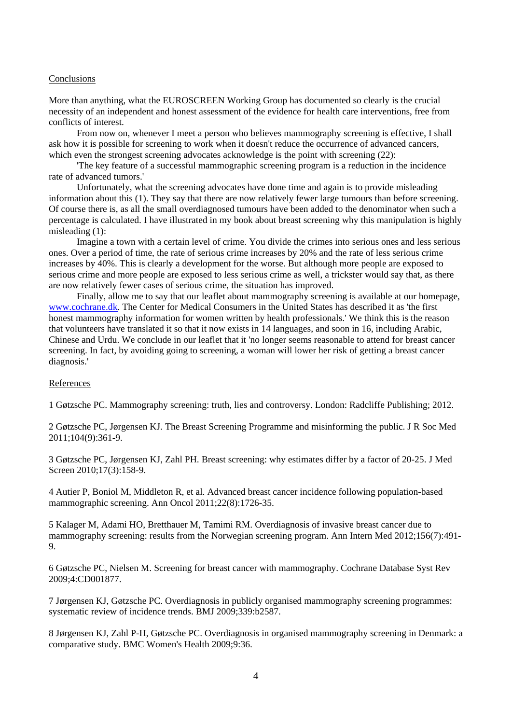### Conclusions

More than anything, what the EUROSCREEN Working Group has documented so clearly is the crucial necessity of an independent and honest assessment of the evidence for health care interventions, free from conflicts of interest.

 From now on, whenever I meet a person who believes mammography screening is effective, I shall ask how it is possible for screening to work when it doesn't reduce the occurrence of advanced cancers, which even the strongest screening advocates acknowledge is the point with screening (22):

 'The key feature of a successful mammographic screening program is a reduction in the incidence rate of advanced tumors.'

 Unfortunately, what the screening advocates have done time and again is to provide misleading information about this (1). They say that there are now relatively fewer large tumours than before screening. Of course there is, as all the small overdiagnosed tumours have been added to the denominator when such a percentage is calculated. I have illustrated in my book about breast screening why this manipulation is highly misleading (1):

 Imagine a town with a certain level of crime. You divide the crimes into serious ones and less serious ones. Over a period of time, the rate of serious crime increases by 20% and the rate of less serious crime increases by 40%. This is clearly a development for the worse. But although more people are exposed to serious crime and more people are exposed to less serious crime as well, a trickster would say that, as there are now relatively fewer cases of serious crime, the situation has improved.

 Finally, allow me to say that our leaflet about mammography screening is available at our homepage, www.cochrane.dk. The Center for Medical Consumers in the United States has described it as 'the first honest mammography information for women written by health professionals.' We think this is the reason that volunteers have translated it so that it now exists in 14 languages, and soon in 16, including Arabic, Chinese and Urdu. We conclude in our leaflet that it 'no longer seems reasonable to attend for breast cancer screening. In fact, by avoiding going to screening, a woman will lower her risk of getting a breast cancer diagnosis.'

## **References**

1 Gøtzsche PC. Mammography screening: truth, lies and controversy. London: Radcliffe Publishing; 2012.

2 Gøtzsche PC, Jørgensen KJ. The Breast Screening Programme and misinforming the public. J R Soc Med 2011;104(9):361-9.

3 Gøtzsche PC, Jørgensen KJ, Zahl PH. Breast screening: why estimates differ by a factor of 20-25. J Med Screen 2010:17(3):158-9.

4 Autier P, Boniol M, Middleton R, et al. Advanced breast cancer incidence following population-based mammographic screening. Ann Oncol 2011;22(8):1726-35.

5 Kalager M, Adami HO, Bretthauer M, Tamimi RM. Overdiagnosis of invasive breast cancer due to mammography screening: results from the Norwegian screening program. Ann Intern Med 2012;156(7):491- 9.

6 Gøtzsche PC, Nielsen M. Screening for breast cancer with mammography. Cochrane Database Syst Rev 2009;4:CD001877.

7 Jørgensen KJ, Gøtzsche PC. Overdiagnosis in publicly organised mammography screening programmes: systematic review of incidence trends. BMJ 2009;339:b2587.

8 Jørgensen KJ, Zahl P-H, Gøtzsche PC. Overdiagnosis in organised mammography screening in Denmark: a comparative study. BMC Women's Health 2009;9:36.